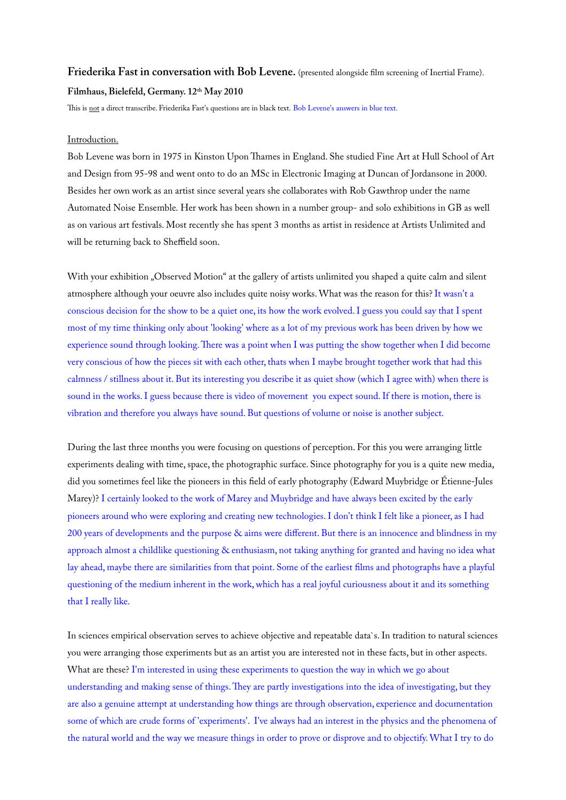## **Friederika Fast in conversation with Bob Levene.** (presented alongside flm screening of Inertial Frame). **Filmhaus, Bielefeld, Germany. 12th May 2010**

This is not a direct transcribe. Friederika Fast's questions are in black text. Bob Levene's answers in blue text.

## Introduction.

Bob Levene was born in 1975 in Kinston Upon Tames in England. She studied Fine Art at Hull School of Art and Design from 95-98 and went onto to do an MSc in Electronic Imaging at Duncan of Jordansone in 2000. Besides her own work as an artist since several years she collaborates with Rob Gawthrop under the name [Automated Noise Ensemble.](http://www.automatednoiseensemble.co.uk/) Her work has been shown in a number group- and solo exhibitions in GB as well as on various art festivals. Most recently she has spent 3 months as artist in residence at Artists Unlimited and will be returning back to Sheffield soon.

With your exhibition "Observed Motion" at the gallery of artists unlimited you shaped a quite calm and silent atmosphere although your oeuvre also includes quite noisy works. What was the reason for this? It wasn't a conscious decision for the show to be a quiet one, its how the work evolved. I guess you could say that I spent most of my time thinking only about 'looking' where as a lot of my previous work has been driven by how we experience sound through looking. There was a point when I was putting the show together when I did become very conscious of how the pieces sit with each other, thats when I maybe brought together work that had this calmness / stillness about it. But its interesting you describe it as quiet show (which I agree with) when there is sound in the works. I guess because there is video of movement you expect sound. If there is motion, there is vibration and therefore you always have sound. But questions of volume or noise is another subject.

During the last three months you were focusing on questions of perception. For this you were arranging little experiments dealing with time, space, the photographic surface. Since photography for you is a quite new media, did you sometimes feel like the pioneers in this feld of early photography (Edward Muybridge or Étienne**-**Jules Marey)? I certainly looked to the work of Marey and Muybridge and have always been excited by the early pioneers around who were exploring and creating new technologies. I don't think I felt like a pioneer, as I had 200 years of developments and the purpose & aims were diferent. But there is an innocence and blindness in my approach almost a childlike questioning & enthusiasm, not taking anything for granted and having no idea what lay ahead, maybe there are similarities from that point. Some of the earliest flms and photographs have a playful questioning of the medium inherent in the work, which has a real joyful curiousness about it and its something that I really like.

In sciences empirical observation serves to achieve objective and repeatable data`s. In tradition to natural sciences you were arranging those experiments but as an artist you are interested not in these facts, but in other aspects. What are these? I'm interested in using these experiments to question the way in which we go about understanding and making sense of things. They are partly investigations into the idea of investigating, but they are also a genuine attempt at understanding how things are through observation, experience and documentation some of which are crude forms of 'experiments'. I've always had an interest in the physics and the phenomena of the natural world and the way we measure things in order to prove or disprove and to objectify. What I try to do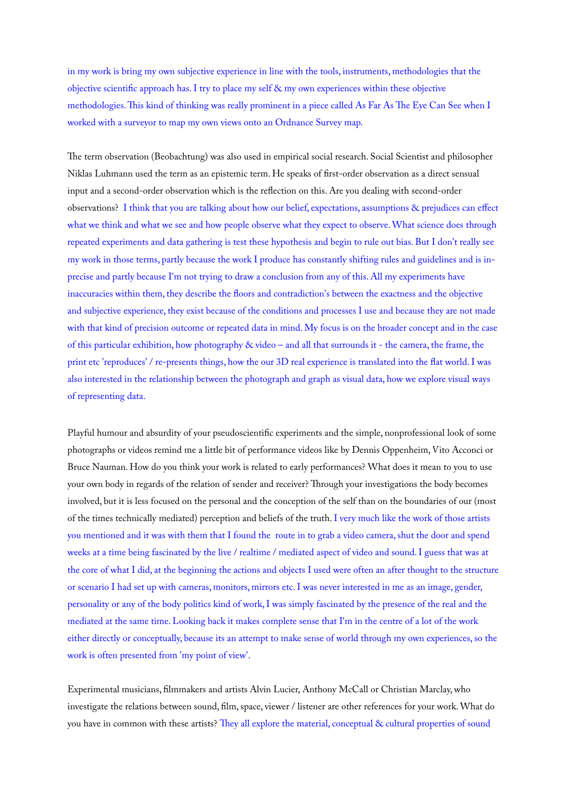in my work is bring my own subjective experience in line with the tools, instruments, methodologies that the objective scientifc approach has. I try to place my self & my own experiences within these objective methodologies. This kind of thinking was really prominent in a piece called As Far As The Eye Can See when I worked with a surveyor to map my own views onto an Ordnance Survey map.

The term observation (Beobachtung) was also used in empirical social research. Social Scientist and philosopher Niklas Luhmann used the term as an epistemic term. He speaks of frst-order observation as a direct sensual input and a second-order observation which is the refection on this. Are you dealing with second-order observations? I think that you are talking about how our belief, expectations, assumptions & prejudices can efect what we think and what we see and how people observe what they expect to observe. What science does through repeated experiments and data gathering is test these hypothesis and begin to rule out bias. But I don't really see my work in those terms, partly because the work I produce has constantly shifting rules and guidelines and is inprecise and partly because I'm not trying to draw a conclusion from any of this. All my experiments have inaccuracies within them, they describe the foors and contradiction's between the exactness and the objective and subjective experience, they exist because of the conditions and processes I use and because they are not made with that kind of precision outcome or repeated data in mind. My focus is on the broader concept and in the case of this particular exhibition, how photography & video – and all that surrounds it - the camera, the frame, the print etc 'reproduces' / re-presents things, how the our 3D real experience is translated into the fat world. I was also interested in the relationship between the photograph and graph as visual data, how we explore visual ways of representing data.

Playful humour and absurdity of your pseudoscientifc experiments and the simple, nonprofessional look of some photographs or videos remind me a little bit of performance videos like by Dennis Oppenheim, Vito Acconci or Bruce Nauman. How do you think your work is related to early performances? What does it mean to you to use your own body in regards of the relation of sender and receiver? Through your investigations the body becomes involved, but it is less focused on the personal and the conception of the self than on the boundaries of our (most of the times technically mediated) perception and beliefs of the truth. I very much like the work of those artists you mentioned and it was with them that I found the route in to grab a video camera, shut the door and spend weeks at a time being fascinated by the live / realtime / mediated aspect of video and sound. I guess that was at the core of what I did, at the beginning the actions and objects I used were often an after thought to the structure or scenario I had set up with cameras, monitors, mirrors etc. I was never interested in me as an image, gender, personality or any of the body politics kind of work, I was simply fascinated by the presence of the real and the mediated at the same time. Looking back it makes complete sense that I'm in the centre of a lot of the work either directly or conceptually, because its an attempt to make sense of world through my own experiences, so the work is often presented from 'my point of view'.

Experimental musicians, flmmakers and artists Alvin Lucier, Anthony McCall or Christian Marclay, who investigate the relations between sound, flm, space, viewer / listener are other references for your work. What do you have in common with these artists? They all explore the material, conceptual & cultural properties of sound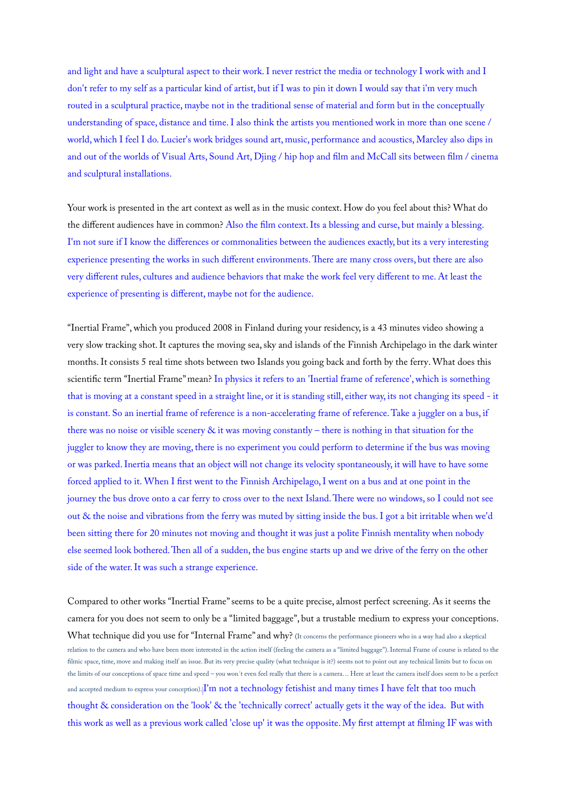and light and have a sculptural aspect to their work. I never restrict the media or technology I work with and I don't refer to my self as a particular kind of artist, but if I was to pin it down I would say that i'm very much routed in a sculptural practice, maybe not in the traditional sense of material and form but in the conceptually understanding of space, distance and time. I also think the artists you mentioned work in more than one scene / world, which I feel I do. Lucier's work bridges sound art, music, performance and acoustics, Marcley also dips in and out of the worlds of Visual Arts, Sound Art, Djing / hip hop and flm and McCall sits between flm / cinema and sculptural installations.

Your work is presented in the art context as well as in the music context. How do you feel about this? What do the diferent audiences have in common? Also the flm context. Its a blessing and curse, but mainly a blessing. I'm not sure if I know the diferences or commonalities between the audiences exactly, but its a very interesting experience presenting the works in such different environments. There are many cross overs, but there are also very diferent rules, cultures and audience behaviors that make the work feel very diferent to me. At least the experience of presenting is diferent, maybe not for the audience.

"Inertial Frame", which you produced 2008 in Finland during your residency, is a 43 minutes video showing a very slow tracking shot. It captures the moving sea, sky and islands of the Finnish Archipelago in the dark winter months. It consists 5 real time shots between two Islands you going back and forth by the ferry. What does this scientifc term "Inertial Frame" mean? In physics it refers to an 'Inertial frame of reference', which is something that is moving at a constant speed in a straight line, or it is standing still, either way, its not changing its speed - it is constant. So an inertial frame of reference is a non-accelerating frame of reference. Take a juggler on a bus, if there was no noise or visible scenery & it was moving constantly – there is nothing in that situation for the juggler to know they are moving, there is no experiment you could perform to determine if the bus was moving or was parked. Inertia means that an object will not change its velocity spontaneously, it will have to have some forced applied to it. When I frst went to the Finnish Archipelago, I went on a bus and at one point in the journey the bus drove onto a car ferry to cross over to the next Island. There were no windows, so I could not see out & the noise and vibrations from the ferry was muted by sitting inside the bus. I got a bit irritable when we'd been sitting there for 20 minutes not moving and thought it was just a polite Finnish mentality when nobody else seemed look bothered. Then all of a sudden, the bus engine starts up and we drive of the ferry on the other side of the water. It was such a strange experience.

Compared to other works "Inertial Frame" seems to be a quite precise, almost perfect screening. As it seems the camera for you does not seem to only be a "limited baggage", but a trustable medium to express your conceptions. What technique did you use for "Internal Frame" and why? (It concerns the performance pioneers who in a way had also a skeptical relation to the camera and who have been more interested in the action itself (feeling the camera as a "limited baggage"). Internal Frame of course is related to the filmic space, time, move and making itself an issue. But its very precise quality (what technique is it?) seems not to point out any technical limits but to focus on the limits of our conceptions of space time and speed – you won´t even feel really that there is a camera… Here at least the camera itself does seem to be a perfect and accepted medium to express your conception).<sup>[I'</sup>m not a technology fetishist and many times I have felt that too much thought & consideration on the 'look' & the 'technically correct' actually gets it the way of the idea. But with this work as well as a previous work called 'close up' it was the opposite. My frst attempt at flming IF was with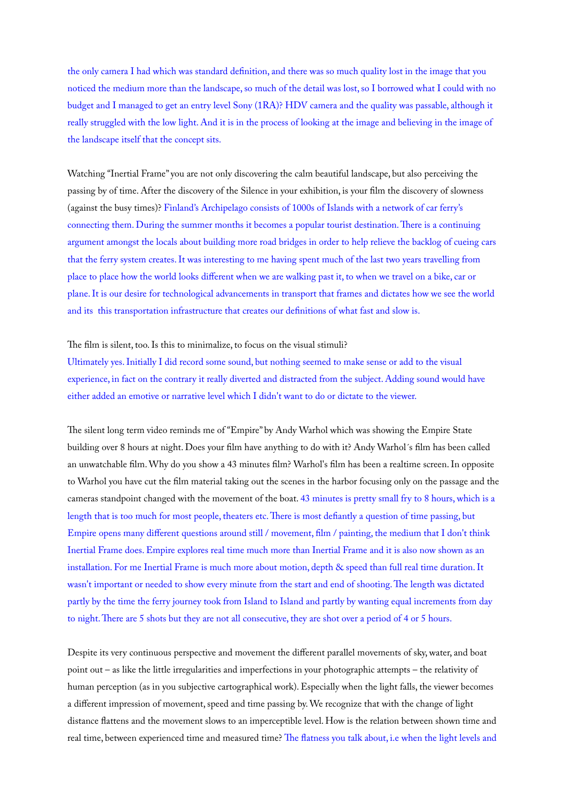the only camera I had which was standard defnition, and there was so much quality lost in the image that you noticed the medium more than the landscape, so much of the detail was lost, so I borrowed what I could with no budget and I managed to get an entry level Sony (1RA)? HDV camera and the quality was passable, although it really struggled with the low light. And it is in the process of looking at the image and believing in the image of the landscape itself that the concept sits.

Watching "Inertial Frame" you are not only discovering the calm beautiful landscape, but also perceiving the passing by of time. After the discovery of the Silence in your exhibition, is your flm the discovery of [slowness](http://dict.leo.org/ende?lp=ende&p=Ci4HO3kMAA&search=slowness&trestr=0x8001) (against the busy times)? Finland's Archipelago consists of 1000s of Islands with a network of car ferry's connecting them. During the summer months it becomes a popular tourist destination. There is a continuing argument amongst the locals about building more road bridges in order to help relieve the backlog of cueing cars that the ferry system creates. It was interesting to me having spent much of the last two years travelling from place to place how the world looks diferent when we are walking past it, to when we travel on a bike, car or plane. It is our desire for technological advancements in transport that frames and dictates how we see the world and its this transportation infrastructure that creates our defnitions of what fast and slow is.

## The film is silent, too. Is this to minimalize, to focus on the visual stimuli?

Ultimately yes. Initially I did record some sound, but nothing seemed to make sense or add to the visual experience, in fact on the contrary it really diverted and distracted from the subject. Adding sound would have either added an emotive or narrative level which I didn't want to do or dictate to the viewer.

The silent long term video reminds me of "Empire" by Andy Warhol which was showing the Empire State building over 8 hours at night. Does your flm have anything to do with it? Andy Warhol´s flm has been called an unwatchable flm. Why do you show a 43 minutes flm? Warhol's flm has been a realtime screen. In opposite to Warhol you have cut the flm material taking out the scenes in the harbor focusing only on the passage and the cameras standpoint changed with the movement of the boat. 43 minutes is pretty small fry to 8 hours, which is a length that is too much for most people, theaters etc. There is most defiantly a question of time passing, but Empire opens many diferent questions around still / movement, flm / painting, the medium that I don't think Inertial Frame does. Empire explores real time much more than Inertial Frame and it is also now shown as an installation. For me Inertial Frame is much more about motion, depth & speed than full real time duration. It wasn't important or needed to show every minute from the start and end of shooting. The length was dictated partly by the time the ferry journey took from Island to Island and partly by wanting equal increments from day to night. There are 5 shots but they are not all consecutive, they are shot over a period of 4 or 5 hours.

Despite its very continuous perspective and movement the diferent parallel movements of sky, water, and boat point out – as like the little irregularities and imperfections in your photographic attempts – the relativity of human perception (as in you subjective cartographical work). Especially when the light falls, the viewer becomes a diferent impression of movement, speed and time passing by. We recognize that with the change of light distance fattens and the movement slows to an imperceptible level. How is the relation between shown time and real time, between experienced time and measured time? The flatness you talk about, i.e when the light levels and